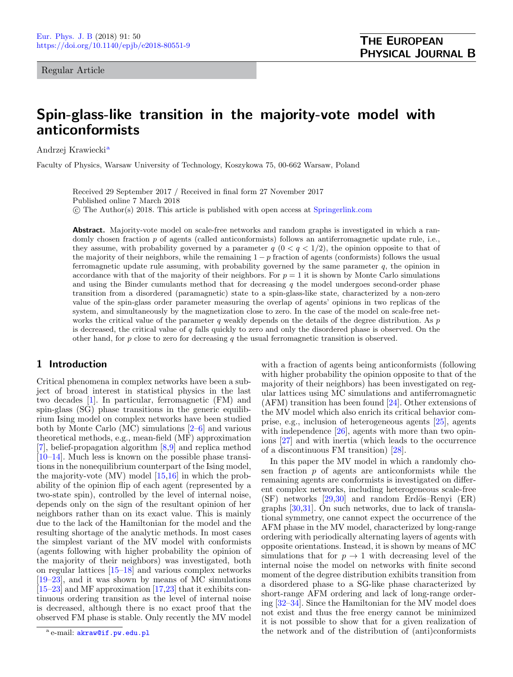Regular Article

# Spin-glass-like transition in the majority-vote model with anticonformists

Andrzej Krawiecki<sup>a</sup>

Faculty of Physics, Warsaw University of Technology, Koszykowa 75, 00-662 Warsaw, Poland

Received 29 September 2017 / Received in final form 27 November 2017 Published online 7 March 2018  $\overline{c}$  The Author(s) 2018. This article is published with open access at [Springerlink.com](http://www.springerlink.com)

Abstract. Majority-vote model on scale-free networks and random graphs is investigated in which a randomly chosen fraction p of agents (called anticonformists) follows an antiferromagnetic update rule, i.e., they assume, with probability governed by a parameter  $q$   $(0 < q < 1/2)$ , the opinion opposite to that of the majority of their neighbors, while the remaining  $1 - p$  fraction of agents (conformists) follows the usual ferromagnetic update rule assuming, with probability governed by the same parameter  $q$ , the opinion in accordance with that of the majority of their neighbors. For  $p = 1$  it is shown by Monte Carlo simulations and using the Binder cumulants method that for decreasing  $q$  the model undergoes second-order phase transition from a disordered (paramagnetic) state to a spin-glass-like state, characterized by a non-zero value of the spin-glass order parameter measuring the overlap of agents' opinions in two replicas of the system, and simultaneously by the magnetization close to zero. In the case of the model on scale-free networks the critical value of the parameter q weakly depends on the details of the degree distribution. As  $p$ is decreased, the critical value of  $q$  falls quickly to zero and only the disordered phase is observed. On the other hand, for p close to zero for decreasing q the usual ferromagnetic transition is observed.

# 1 Introduction

Critical phenomena in complex networks have been a subject of broad interest in statistical physics in the last two decades [\[1\]](#page-5-0). In particular, ferromagnetic (FM) and spin-glass (SG) phase transitions in the generic equilibrium Ising model on complex networks have been studied both by Monte Carlo (MC) simulations [\[2](#page-5-1)[–6\]](#page-6-0) and various theoretical methods, e.g., mean-field (MF) approximation [\[7\]](#page-6-1), belief-propagation algorithm [\[8,](#page-6-2)[9\]](#page-6-3) and replica method [\[10](#page-6-4)[–14\]](#page-6-5). Much less is known on the possible phase transitions in the nonequilibrium counterpart of the Ising model, the majority-vote  $(MV)$  model  $[15,16]$  $[15,16]$  in which the probability of the opinion flip of each agent (represented by a two-state spin), controlled by the level of internal noise, depends only on the sign of the resultant opinion of her neighbors rather than on its exact value. This is mainly due to the lack of the Hamiltonian for the model and the resulting shortage of the analytic methods. In most cases the simplest variant of the MV model with conformists (agents following with higher probability the opinion of the majority of their neighbors) was investigated, both on regular lattices [\[15](#page-6-6)[–18\]](#page-6-8) and various complex networks [\[19](#page-6-9)[–23\]](#page-6-10), and it was shown by means of MC simulations  $[15–23]$  $[15–23]$  and MF approximation  $[17,23]$  $[17,23]$  that it exhibits continuous ordering transition as the level of internal noise is decreased, although there is no exact proof that the observed FM phase is stable. Only recently the MV model

with a fraction of agents being anticonformists (following with higher probability the opinion opposite to that of the majority of their neighbors) has been investigated on regular lattices using MC simulations and antiferromagnetic (AFM) transition has been found [\[24\]](#page-6-12). Other extensions of the MV model which also enrich its critical behavior comprise, e.g., inclusion of heterogeneous agents [\[25\]](#page-6-13), agents with independence [\[26\]](#page-6-14), agents with more than two opinions [\[27\]](#page-6-15) and with inertia (which leads to the occurrence of a discontinuous FM transition) [\[28\]](#page-6-16).

In this paper the MV model in which a randomly chosen fraction p of agents are anticonformists while the remaining agents are conformists is investigated on different complex networks, including heterogeneous scale-free  $(SF)$  networks  $[29,30]$  $[29,30]$  and random Erdös–Renyi  $(ER)$ graphs [\[30,](#page-6-18)[31\]](#page-6-19). On such networks, due to lack of translational symmetry, one cannot expect the occurrence of the AFM phase in the MV model, characterized by long-range ordering with periodically alternating layers of agents with opposite orientations. Instead, it is shown by means of MC simulations that for  $p \to 1$  with decreasing level of the internal noise the model on networks with finite second moment of the degree distribution exhibits transition from a disordered phase to a SG-like phase characterized by short-range AFM ordering and lack of long-range ordering [\[32](#page-6-20)[–34\]](#page-6-21). Since the Hamiltonian for the MV model does not exist and thus the free energy cannot be minimized it is not possible to show that for a given realization of the network and of the distribution of (anti)conformists

<sup>&</sup>lt;sup>a</sup> e-mail: <mark>[akraw@if.pw.edu.pl](mailto:akraw@if.pw.edu.pl)</mark>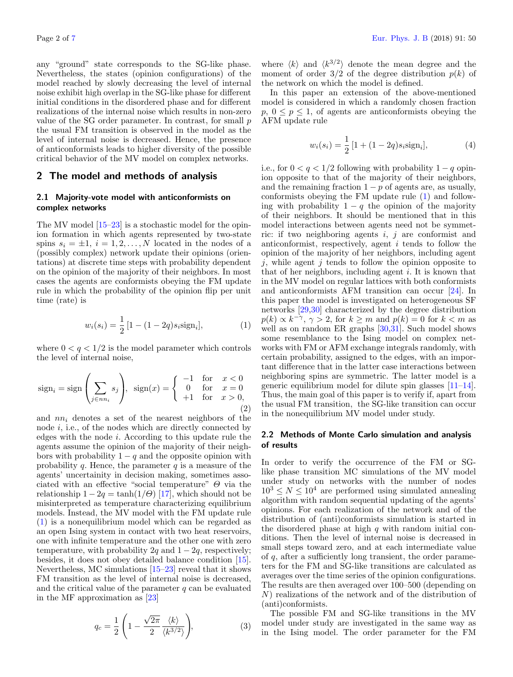any "ground" state corresponds to the SG-like phase. Nevertheless, the states (opinion configurations) of the model reached by slowly decreasing the level of internal noise exhibit high overlap in the SG-like phase for different initial conditions in the disordered phase and for different realizations of the internal noise which results in non-zero value of the SG order parameter. In contrast, for small p the usual FM transition is observed in the model as the level of internal noise is decreased. Hence, the presence of anticonformists leads to higher diversity of the possible critical behavior of the MV model on complex networks.

# 2 The model and methods of analysis

## <span id="page-1-3"></span>2.1 Majority-vote model with anticonformists on complex networks

The MV model [\[15](#page-6-6)[–23\]](#page-6-10) is a stochastic model for the opinion formation in which agents represented by two-state spins  $s_i = \pm 1, i = 1, 2, \ldots, N$  located in the nodes of a (possibly complex) network update their opinions (orientations) at discrete time steps with probability dependent on the opinion of the majority of their neighbors. In most cases the agents are conformists obeying the FM update rule in which the probability of the opinion flip per unit time (rate) is

<span id="page-1-0"></span>
$$
w_i(s_i) = \frac{1}{2} [1 - (1 - 2q)s_i \text{sign}_i], \tag{1}
$$

where  $0 < q < 1/2$  is the model parameter which controls the level of internal noise,

$$
sign_i = sign\left(\sum_{j \in nn_i} s_j\right), \quad sign(x) = \begin{cases} -1 & \text{for } x < 0\\ 0 & \text{for } x = 0\\ +1 & \text{for } x > 0, \end{cases} \tag{2}
$$

and  $nn_i$  denotes a set of the nearest neighbors of the node  $i$ , i.e., of the nodes which are directly connected by edges with the node i. According to this update rule the agents assume the opinion of the majority of their neighbors with probability  $1 - q$  and the opposite opinion with probability q. Hence, the parameter  $q$  is a measure of the agents' uncertainity in decision making, sometimes associated with an effective "social temperature"  $\Theta$  via the relationship  $1 - 2q = \tanh(1/\Theta)$  [\[17\]](#page-6-11), which should not be misinterpreted as temperature characterizing equilibrium models. Instead, the MV model with the FM update rule [\(1\)](#page-1-0) is a nonequilibrium model which can be regarded as an open Ising system in contact with two heat reservoirs, one with infinite temperature and the other one with zero temperature, with probability 2q and  $1 - 2q$ , respectively; besides, it does not obey detailed balance condition [\[15\]](#page-6-6). Nevertheless, MC simulations [\[15](#page-6-6)[–23\]](#page-6-10) reveal that it shows FM transition as the level of internal noise is decreased, and the critical value of the parameter  $q$  can be evaluated in the MF approximation as [\[23\]](#page-6-10)

<span id="page-1-2"></span>
$$
q_c = \frac{1}{2} \left( 1 - \frac{\sqrt{2\pi}}{2} \frac{\langle k \rangle}{\langle k^{3/2} \rangle} \right),\tag{3}
$$

where  $\langle k \rangle$  and  $\langle k^{3/2} \rangle$  denote the mean degree and the moment of order  $3/2$  of the degree distribution  $p(k)$  of the network on which the model is defined.

In this paper an extension of the above-mentioned model is considered in which a randomly chosen fraction  $p, 0 \leq p \leq 1$ , of agents are anticonformists obeying the AFM update rule

<span id="page-1-1"></span>
$$
w_i(s_i) = \frac{1}{2} [1 + (1 - 2q)s_i \text{sign}_i],
$$
 (4)

i.e., for  $0 < q < 1/2$  following with probability  $1 - q$  opinion opposite to that of the majority of their neighbors, and the remaining fraction  $1 - p$  of agents are, as usually, conformists obeying the FM update rule [\(1\)](#page-1-0) and following with probability  $1 - q$  the opinion of the majority of their neighbors. It should be mentioned that in this model interactions between agents need not be symmetric: if two neighboring agents  $i, j$  are conformist and anticonformist, respectively, agent  $i$  tends to follow the opinion of the majority of her neighbors, including agent j, while agent j tends to follow the opinion opposite to that of her neighbors, including agent  $i$ . It is known that in the MV model on regular lattices with both conformists and anticonformists AFM transition can occur [\[24\]](#page-6-12). In this paper the model is investigated on heterogeneous SF networks [\[29,](#page-6-17)[30\]](#page-6-18) characterized by the degree distribution  $p(k) \propto k^{-\gamma}, \gamma > 2$ , for  $k \geq m$  and  $p(k) = 0$  for  $k < m$  as well as on random ER graphs [\[30,](#page-6-18)[31\]](#page-6-19). Such model shows some resemblance to the Ising model on complex networks with FM or AFM exchange integrals randomly, with certain probability, assigned to the edges, with an important difference that in the latter case interactions between neighboring spins are symmetric. The latter model is a generic equilibrium model for dilute spin glasses [\[11](#page-6-22)[–14\]](#page-6-5). Thus, the main goal of this paper is to verify if, apart from the usual FM transition, the SG-like transition can occur in the nonequilibrium MV model under study.

## 2.2 Methods of Monte Carlo simulation and analysis of results

In order to verify the occurrence of the FM or SGlike phase transition MC simulations of the MV model under study on networks with the number of nodes  $10^3 \leq N \leq 10^4$  are performed using simulated annealing algorithm with random sequential updating of the agents' opinions. For each realization of the network and of the distribution of (anti)conformists simulation is started in the disordered phase at high  $q$  with random initial conditions. Then the level of internal noise is decreased in small steps toward zero, and at each intermediate value of q, after a sufficiently long transient, the order parameters for the FM and SG-like transitions are calculated as averages over the time series of the opinion configurations. The results are then averaged over 100–500 (depending on N) realizations of the network and of the distribution of (anti)conformists.

The possible FM and SG-like transitions in the MV model under study are investigated in the same way as in the Ising model. The order parameter for the FM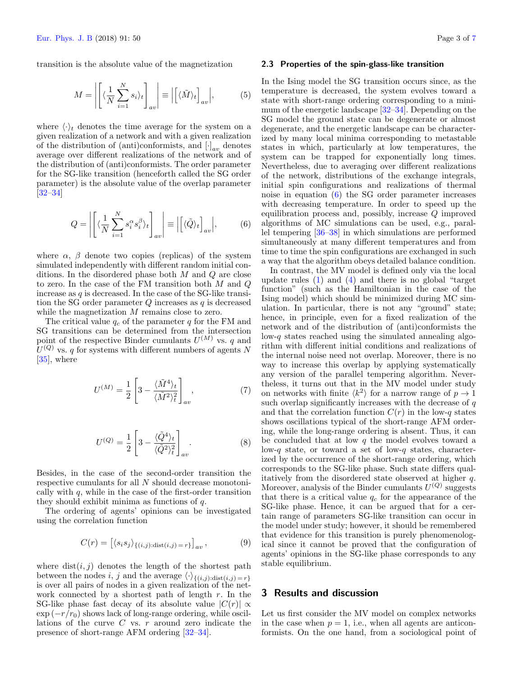transition is the absolute value of the magnetization

$$
M = \left| \left[ \langle \frac{1}{N} \sum_{i=1}^{N} s_i \rangle_t \right]_{av} \right| \equiv \left| \left[ \langle \tilde{M} \rangle_t \right]_{av} \right|, \tag{5}
$$

where  $\langle \cdot \rangle_t$  denotes the time average for the system on a given realization of a network and with a given realization of the distribution of (anti)conformists, and  $[\cdot]_{av}$  denotes average over different realizations of the network and of the distribution of (anti)conformists. The order parameter for the SG-like transition (henceforth called the SG order parameter) is the absolute value of the overlap parameter [\[32](#page-6-20)[–34\]](#page-6-21)

<span id="page-2-0"></span>
$$
Q = \left| \left[ \langle \frac{1}{N} \sum_{i=1}^{N} s_i^{\alpha} s_i^{\beta} \rangle_t \right]_{av} \right| \equiv \left| \left[ \langle \tilde{Q} \rangle_t \right]_{av} \right|, \tag{6}
$$

where  $\alpha$ ,  $\beta$  denote two copies (replicas) of the system simulated independently with different random initial conditions. In the disordered phase both M and Q are close to zero. In the case of the FM transition both M and Q increase as  $q$  is decreased. In the case of the SG-like transition the SG order parameter  $Q$  increases as  $q$  is decreased while the magnetization M remains close to zero.

The critical value  $q_c$  of the parameter q for the FM and SG transitions can be determined from the intersection point of the respective Binder cumulants  $U^{(M)}$  vs. q and  $U^{(Q)}$  vs. q for systems with different numbers of agents N [\[35\]](#page-6-23), where

$$
U^{(M)} = \frac{1}{2} \left[ 3 - \frac{\langle \tilde{M}^4 \rangle_t}{\langle \tilde{M}^2 \rangle_t^2} \right]_{av}, \tag{7}
$$

$$
U^{(Q)} = \frac{1}{2} \left[ 3 - \frac{\langle \tilde{Q}^4 \rangle_t}{\langle \tilde{Q}^2 \rangle_t^2} \right]_{av}.
$$
 (8)

Besides, in the case of the second-order transition the respective cumulants for all N should decrease monotonically with  $q$ , while in the case of the first-order transition they should exhibit minima as functions of q.

The ordering of agents' opinions can be investigated using the correlation function

$$
C(r) = \left[ \langle s_i s_j \rangle_{\{(i,j): \text{dist}(i,j) = r\}} \right]_{av},\tag{9}
$$

where  $dist(i, j)$  denotes the length of the shortest path between the nodes i, j and the average  $\langle \cdot \rangle_{\{(i,j):dist(i,j) = r\}}$ is over all pairs of nodes in a given realization of the network connected by a shortest path of length  $r$ . In the SG-like phase fast decay of its absolute value  $|C(r)| \propto$  $\exp(-r/r_0)$  shows lack of long-range ordering, while oscillations of the curve  $C$  vs.  $r$  around zero indicate the presence of short-range AFM ordering [\[32–](#page-6-20)[34\]](#page-6-21).

#### 2.3 Properties of the spin-glass-like transition

In the Ising model the SG transition occurs since, as the temperature is decreased, the system evolves toward a state with short-range ordering corresponding to a minimum of the energetic landscape [\[32–](#page-6-20)[34\]](#page-6-21). Depending on the SG model the ground state can be degenerate or almost degenerate, and the energetic landscape can be characterized by many local minima corresponding to metastable states in which, particularly at low temperatures, the system can be trapped for exponentially long times. Nevertheless, due to averaging over different realizations of the network, distributions of the exchange integrals, initial spin configurations and realizations of thermal noise in equation [\(6\)](#page-2-0) the SG order parameter increases with decreasing temperature. In order to speed up the equilibration process and, possibly, increase Q improved algorithms of MC simulations can be used, e.g., parallel tempering [\[36](#page-6-24)[–38\]](#page-6-25) in which simulations are performed simultaneously at many different temperatures and from time to time the spin configurations are exchanged in such a way that the algorithm obeys detailed balance condition.

In contrast, the MV model is defined only via the local update rules [\(1\)](#page-1-0) and [\(4\)](#page-1-1) and there is no global "target function" (such as the Hamiltonian in the case of the Ising model) which should be minimized during MC simulation. In particular, there is not any "ground" state; hence, in principle, even for a fixed realization of the network and of the distribution of (anti)conformists the low-q states reached using the simulated annealing algorithm with different initial conditions and realizations of the internal noise need not overlap. Moreover, there is no way to increase this overlap by applying systematically any version of the parallel tempering algorithm. Nevertheless, it turns out that in the MV model under study on networks with finite  $\langle k^2 \rangle$  for a narrow range of  $p \to 1$ such overlap significantly increases with the decrease of  $q$ and that the correlation function  $C(r)$  in the low-q states shows oscillations typical of the short-range AFM ordering, while the long-range ordering is absent. Thus, it can be concluded that at low  $q$  the model evolves toward a low-q state, or toward a set of low-q states, characterized by the occurrence of the short-range ordering, which corresponds to the SG-like phase. Such state differs qualitatively from the disordered state observed at higher q. Moreover, analysis of the Binder cumulants  $U^{(Q)}$  suggests that there is a critical value  $q_c$  for the appearance of the SG-like phase. Hence, it can be argued that for a certain range of parameters SG-like transition can occur in the model under study; however, it should be remembered that evidence for this transition is purely phenomenological since it cannot be proved that the configuration of agents' opinions in the SG-like phase corresponds to any stable equilibrium.

### 3 Results and discussion

Let us first consider the MV model on complex networks in the case when  $p = 1$ , i.e., when all agents are anticonformists. On the one hand, from a sociological point of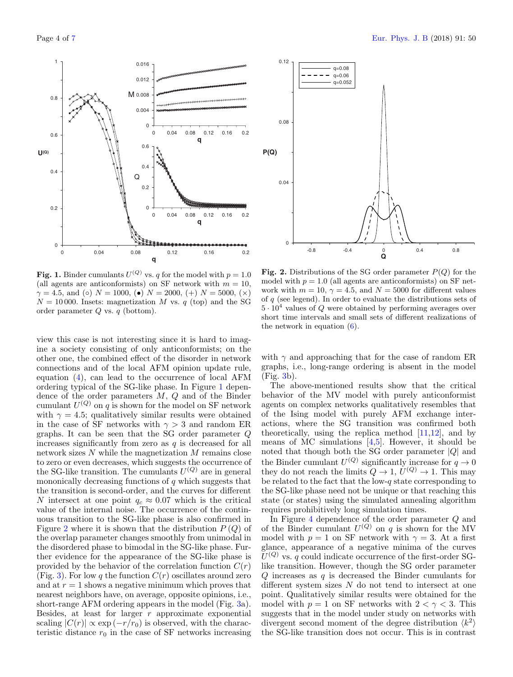

<span id="page-3-0"></span>**Fig. 1.** Binder cumulants  $U^{(Q)}$  vs. q for the model with  $p = 1.0$ (all agents are anticonformists) on SF network with  $m = 10$ .  $\gamma = 4.5$ , and (◦)  $N = 1000$ , (●)  $N = 2000$ , (+)  $N = 5000$ , (×)  $N = 10000$ . Insets: magnetization M vs. q (top) and the SG order parameter Q vs. q (bottom).

view this case is not interesting since it is hard to imagine a society consisting of only anticonformists; on the other one, the combined effect of the disorder in network connections and of the local AFM opinion update rule, equation [\(4\)](#page-1-1), can lead to the occurrence of local AFM ordering typical of the SG-like phase. In Figure [1](#page-3-0) dependence of the order parameters M, Q and of the Binder cumulant  $U^{(Q)}$  on q is shown for the model on SF network with  $\gamma = 4.5$ ; qualitatively similar results were obtained in the case of SF networks with  $\gamma > 3$  and random ER graphs. It can be seen that the SG order parameter Q increases significantly from zero as  $q$  is decreased for all network sizes N while the magnetization M remains close to zero or even decreases, which suggests the occurrence of the SG-like transition. The cumulants  $U^{(Q)}$  are in general mononically decreasing functions of  $q$  which suggests that the transition is second-order, and the curves for different N intersect at one point  $q_c \approx 0.07$  which is the critical value of the internal noise. The occurrence of the continuous transition to the SG-like phase is also confirmed in Figure [2](#page-3-1) where it is shown that the distribution  $P(Q)$  of the overlap parameter changes smoothly from unimodal in the disordered phase to bimodal in the SG-like phase. Further evidence for the appearance of the SG-like phase is provided by the behavior of the correlation function  $C(r)$ (Fig. [3\)](#page-4-0). For low q the function  $C(r)$  oscillates around zero and at  $r = 1$  shows a negative minimum which proves that nearest neighbors have, on average, opposite opinions, i.e., short-range AFM ordering appears in the model (Fig. [3a](#page-4-0)). Besides, at least for larger r approximate exponential scaling  $|C(r)| \propto \exp(-r/r_0)$  is observed, with the characteristic distance  $r_0$  in the case of SF networks increasing



<span id="page-3-1"></span>**Fig. 2.** Distributions of the SG order parameter  $P(Q)$  for the model with  $p = 1.0$  (all agents are anticonformists) on SF network with  $m = 10$ ,  $\gamma = 4.5$ , and  $N = 5000$  for different values of  $q$  (see legend). In order to evaluate the distributions sets of  $5 \cdot 10^4$  values of Q were obtained by performing averages over short time intervals and small sets of different realizations of the network in equation  $(6)$ .

with  $\gamma$  and approaching that for the case of random ER graphs, i.e., long-range ordering is absent in the model (Fig. [3b](#page-4-0)).

The above-mentioned results show that the critical behavior of the MV model with purely anticonformist agents on complex networks qualitatively resembles that of the Ising model with purely AFM exchange interactions, where the SG transition was confirmed both theoretically, using the replica method [\[11,](#page-6-22)[12\]](#page-6-26), and by means of MC simulations  $[4,5]$  $[4,5]$ . However, it should be noted that though both the SG order parameter  $|Q|$  and the Binder cumulant  $U^{(Q)}$  significantly increase for  $q \to 0$ they do not reach the limits  $Q \to 1$ ,  $U^{(Q)} \to 1$ . This may be related to the fact that the low- $q$  state corresponding to the SG-like phase need not be unique or that reaching this state (or states) using the simulated annealing algorithm requires prohibitively long simulation times.

In Figure [4](#page-4-1) dependence of the order parameter Q and of the Binder cumulant  $U^{(Q)}$  on q is shown for the MV model with  $p = 1$  on SF network with  $\gamma = 3$ . At a first glance, appearance of a negative minima of the curves  $U^{(Q)}$  vs. q could indicate occurrence of the first-order SGlike transition. However, though the SG order parameter  $Q$  increases as  $q$  is decreased the Binder cumulants for different system sizes  $N$  do not tend to intersect at one point. Qualitatively similar results were obtained for the model with  $p = 1$  on SF networks with  $2 < \gamma < 3$ . This suggests that in the model under study on networks with divergent second moment of the degree distribution  $\langle k^2 \rangle$ the SG-like transition does not occur. This is in contrast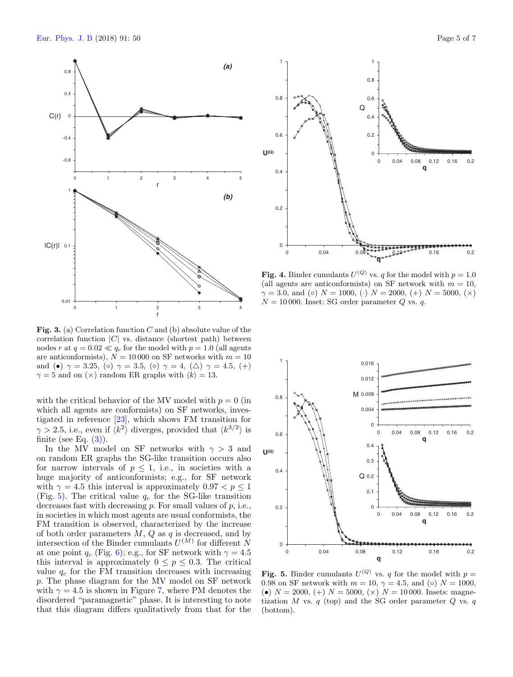

<span id="page-4-0"></span>**Fig. 3.** (a) Correlation function  $C$  and (b) absolute value of the correlation function  $|C|$  vs. distance (shortest path) between nodes r at  $q = 0.02 \ll q_c$  for the model with  $p = 1.0$  (all agents are anticonformists),  $N = 10000$  on SF networks with  $m = 10$ and (•)  $\gamma = 3.25$ , ( $\circ$ )  $\gamma = 3.5$ , ( $\circ$ )  $\gamma = 4$ , ( $\triangle$ )  $\gamma = 4.5$ , (+)  $\gamma = 5$  and on (x) random ER graphs with  $\langle k \rangle = 13$ .

with the critical behavior of the MV model with  $p = 0$  (in which all agents are conformists) on SF networks, investigated in reference [\[23\]](#page-6-10), which shows FM transition for  $\gamma > 2.5$ , i.e., even if  $\langle k^2 \rangle$  diverges, provided that  $\langle k^{3/2} \rangle$  is finite (see Eq.  $(3)$ ).

In the MV model on SF networks with  $\gamma > 3$  and on random ER graphs the SG-like transition occurs also for narrow intervals of  $p \leq 1$ , i.e., in societies with a huge majority of anticonformists; e.g., for SF network with  $\gamma = 4.5$  this interval is approximately  $0.97 < p \leq 1$ (Fig. [5\)](#page-4-2). The critical value  $q_c$  for the SG-like transition decreases fast with decreasing  $p$ . For small values of  $p$ , i.e., in societies in which most agents are usual conformists, the FM transition is observed, characterized by the increase of both order parameters  $M, Q$  as q is decreased, and by intersection of the Binder cumulants  $U^{(M)}$  for different  $N$ at one point  $q_c$  (Fig. [6\)](#page-5-3); e.g., for SF network with  $\gamma = 4.5$ this interval is approximately  $0 \le p \le 0.3$ . The critical value  $q_c$  for the FM transition decreases with increasing p. The phase diagram for the MV model on SF network with  $\gamma = 4.5$  is shown in Figure [7,](#page-5-4) where PM denotes the disordered "paramagnetic" phase. It is interesting to note that this diagram differs qualitatively from that for the



<span id="page-4-1"></span>**Fig. 4.** Binder cumulants  $U^{(Q)}$  vs. q for the model with  $p = 1.0$ (all agents are anticonformists) on SF network with  $m = 10$ ,  $\gamma = 3.0$ , and (◦)  $N = 1000$ , (⋅)  $N = 2000$ , (+)  $N = 5000$ , (×)  $N = 10000$ . Inset: SG order parameter Q vs. q.



<span id="page-4-2"></span>**Fig. 5.** Binder cumulants  $U^{(Q)}$  vs. q for the model with  $p =$ 0.98 on SF network with  $m = 10, \gamma = 4.5$ , and (◦)  $N = 1000$ , (•)  $N = 2000, (+) N = 5000, (x) N = 10000$ . Insets: magnetization  $M$  vs.  $q$  (top) and the SG order parameter  $Q$  vs.  $q$ (bottom).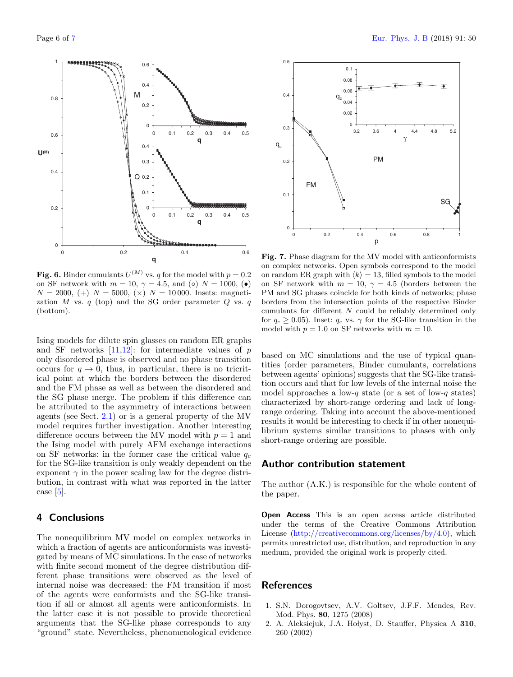

<span id="page-5-3"></span>**Fig. 6.** Binder cumulants  $U^{(M)}$  vs. q for the model with  $p = 0.2$ on SF network with  $m = 10, \gamma = 4.5,$  and (◦)  $N = 1000,$  (●)  $N = 2000, (+)$   $N = 5000, (x)$   $N = 10000$ . Insets: magnetization M vs. q (top) and the SG order parameter  $Q$  vs. q (bottom).

Ising models for dilute spin glasses on random ER graphs and SF networks  $[11,12]$  $[11,12]$ : for intermediate values of p only disordered phase is observed and no phase transition occurs for  $q \to 0$ , thus, in particular, there is no tricritical point at which the borders between the disordered and the FM phase as well as between the disordered and the SG phase merge. The problem if this difference can be attributed to the asymmetry of interactions between agents (see Sect. [2.1\)](#page-1-3) or is a general property of the MV model requires further investigation. Another interesting difference occurs between the MV model with  $p = 1$  and the Ising model with purely AFM exchange interactions on SF networks: in the former case the critical value  $q_c$ for the SG-like transition is only weakly dependent on the exponent  $\gamma$  in the power scaling law for the degree distribution, in contrast with what was reported in the latter case [\[5\]](#page-6-28).

# 4 Conclusions

The nonequilibrium MV model on complex networks in which a fraction of agents are anticonformists was investigated by means of MC simulations. In the case of networks with finite second moment of the degree distribution different phase transitions were observed as the level of internal noise was decreased: the FM transition if most of the agents were conformists and the SG-like transition if all or almost all agents were anticonformists. In the latter case it is not possible to provide theoretical arguments that the SG-like phase corresponds to any "ground" state. Nevertheless, phenomenological evidence



<span id="page-5-4"></span>Fig. 7. Phase diagram for the MV model with anticonformists on complex networks. Open symbols correspond to the model on random ER graph with  $\langle k \rangle = 13$ , filled symbols to the model on SF network with  $m = 10, \gamma = 4.5$  (borders between the PM and SG phases coincide for both kinds of networks; phase borders from the intersection points of the respective Binder cumulants for different N could be reliably determined only for  $q_c \geq 0.05$ ). Inset:  $q_c$  vs.  $\gamma$  for the SG-like transition in the model with  $p = 1.0$  on SF networks with  $m = 10$ .

based on MC simulations and the use of typical quantities (order parameters, Binder cumulants, correlations between agents' opinions) suggests that the SG-like transition occurs and that for low levels of the internal noise the model approaches a low-q state (or a set of low-q states) characterized by short-range ordering and lack of longrange ordering. Taking into account the above-mentioned results it would be interesting to check if in other nonequilibrium systems similar transitions to phases with only short-range ordering are possible.

## Author contribution statement

The author (A.K.) is responsible for the whole content of the paper.

Open Access This is an open access article distributed under the terms of the Creative Commons Attribution License [\(http://creativecommons.org/licenses/by/4.0\)](http://creativecommons.org/licenses/by/4.0), which permits unrestricted use, distribution, and reproduction in any medium, provided the original work is properly cited.

## <span id="page-5-2"></span>References

- <span id="page-5-0"></span>1. S.N. Dorogovtsev, A.V. Goltsev, J.F.F. Mendes, Rev. Mod. Phys. 80, 1275 (2008)
- <span id="page-5-1"></span>2. A. Aleksiejuk, J.A. Hołyst, D. Stauffer, Physica A 310, 260 (2002)